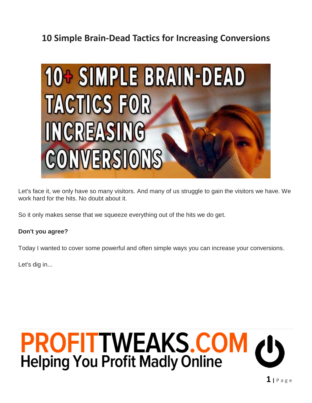## **10 Simple Brain-Dead Tactics for Increasing Conversions**



Let's face it, we only have so many visitors. And many of us struggle to gain the visitors we have. We work hard for the hits. No doubt about it.

So it only makes sense that we squeeze everything out of the hits we do get.

#### **Don't you agree?**

Today I wanted to cover some powerful and often simple ways you can increase your conversions.

Let's dig in...

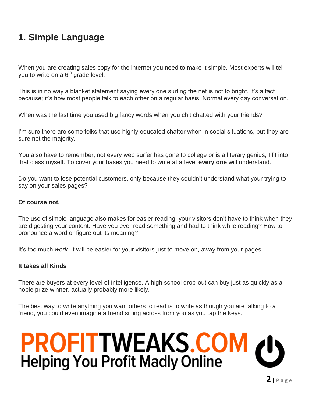## **1. Simple Language**

When you are creating sales copy for the internet you need to make it simple. Most experts will tell you to write on a  $6<sup>th</sup>$  grade level.

This is in no way a blanket statement saying every one surfing the net is not to bright. It's a fact because; it's how most people talk to each other on a regular basis. Normal every day conversation.

When was the last time you used big fancy words when you chit chatted with your friends?

I'm sure there are some folks that use highly educated chatter when in social situations, but they are sure not the majority.

You also have to remember, not every web surfer has gone to college or is a literary genius, I fit into that class myself. To cover your bases you need to write at a level **every one** will understand.

Do you want to lose potential customers, only because they couldn't understand what your trying to say on your sales pages?

#### **Of course not.**

The use of simple language also makes for easier reading; your visitors don't have to think when they are digesting your content. Have you ever read something and had to think while reading? How to pronounce a word or figure out its meaning?

It's too much *work*. It will be easier for your visitors just to move on, away from your pages.

#### **It takes all Kinds**

There are buyers at every level of intelligence. A high school drop-out can buy just as quickly as a noble prize winner, actually probably more likely.

The best way to write anything you want others to read is to write as though you are talking to a friend, you could even imagine a friend sitting across from you as you tap the keys.

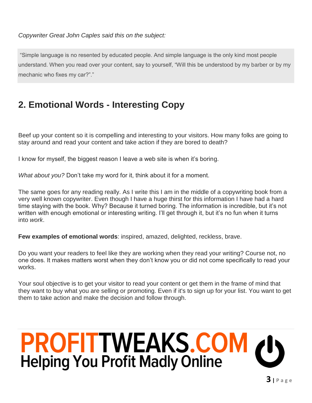*Copywriter Great John Caples said this on the subject:*

"Simple language is no resented by educated people. And simple language is the only kind most people understand. When you read over your content, say to yourself, "Will this be understood by my barber or by my mechanic who fixes my car?"."

## **2. Emotional Words - Interesting Copy**

Beef up your content so it is compelling and interesting to your visitors. How many folks are going to stay around and read your content and take action if they are bored to death?

I know for myself, the biggest reason I leave a web site is when it's boring.

*What about you?* Don't take my word for it, think about it for a moment.

The same goes for any reading really. As I write this I am in the middle of a copywriting book from a very well known copywriter. Even though I have a huge thirst for this information I have had a hard time staying with the book. Why? Because it turned boring. The information is incredible, but it's not written with enough emotional or interesting writing. I'll get through it, but it's no fun when it turns into *work*.

**Few examples of emotional words**: inspired, amazed, delighted, reckless, brave.

Do you want your readers to feel like they are working when they read your writing? Course not, no one does. It makes matters worst when they don't know you or did not come specifically to read your works.

Your soul objective is to get your visitor to read your content or get them in the frame of mind that they want to buy what you are selling or promoting. Even if it's to sign up for your list. You want to get them to take action and make the decision and follow through.

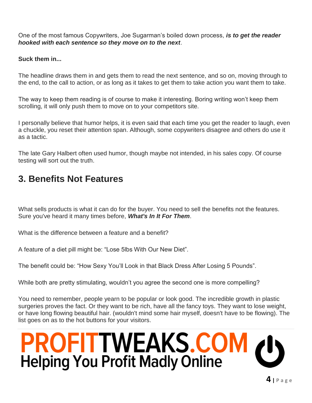One of the most famous Copywriters, Joe Sugarman's boiled down process, *is to get the reader hooked with each sentence so they move on to the next*.

**Suck them in...**

The headline draws them in and gets them to read the next sentence, and so on, moving through to the end, to the call to action, or as long as it takes to get them to take action you want them to take.

The way to keep them reading is of course to make it interesting. Boring writing won't keep them scrolling, it will only push them to move on to your competitors site.

I personally believe that humor helps, it is even said that each time you get the reader to laugh, even a chuckle, you reset their attention span. Although, some copywriters disagree and others do use it as a tactic.

The late Gary Halbert often used humor, though maybe not intended, in his sales copy. Of course testing will sort out the truth.

## **3. Benefits Not Features**

What sells products is what it can do for the buyer. You need to sell the benefits not the features. Sure you've heard it many times before, *What's In It For Them*.

What is the difference between a feature and a benefit?

A feature of a diet pill might be: "Lose 5lbs With Our New Diet".

The benefit could be: "How Sexy You'll Look in that Black Dress After Losing 5 Pounds".

While both are pretty stimulating, wouldn't you agree the second one is more compelling?

You need to remember, people yearn to be popular or look good. The incredible growth in plastic surgeries proves the fact. Or they want to be rich, have all the fancy toys. They want to lose weight, or have long flowing beautiful hair. (wouldn't mind some hair myself, doesn't have to be flowing). The list goes on as to the hot buttons for your visitors.

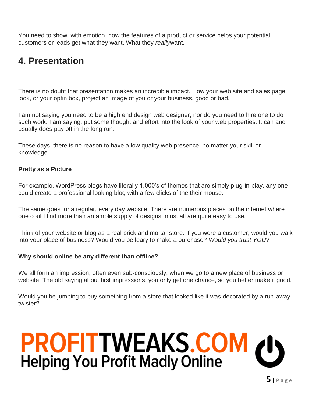You need to show, with emotion, how the features of a product or service helps your potential customers or leads get what they want. What they *really*want.

## **4. Presentation**

There is no doubt that presentation makes an incredible impact. How your web site and sales page look, or your optin box, project an image of you or your business, good or bad.

I am not saying you need to be a high end design web designer, nor do you need to hire one to do such work. I am saying, put some thought and effort into the look of your web properties. It can and usually does pay off in the long run.

These days, there is no reason to have a low quality web presence, no matter your skill or knowledge.

#### **Pretty as a Picture**

For example, WordPress blogs have literally 1,000's of themes that are simply plug-in-play, any one could create a professional looking blog with a few clicks of the their mouse.

The same goes for a regular, every day website. There are numerous places on the internet where one could find more than an ample supply of designs, most all are quite easy to use.

Think of your website or blog as a real brick and mortar store. If you were a customer, would you walk into your place of business? Would you be leary to make a purchase? *Would you trust YOU*?

#### **Why should online be any different than offline?**

We all form an impression, often even sub-consciously, when we go to a new place of business or website. The old saying about first impressions, you only get one chance, so you better make it good.

Would you be jumping to buy something from a store that looked like it was decorated by a run-away twister?

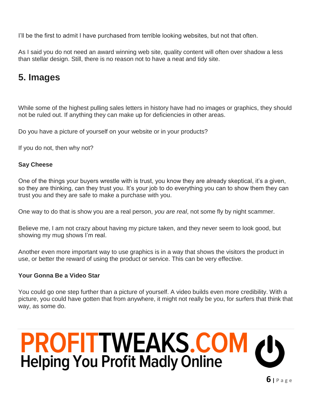I'll be the first to admit I have purchased from terrible looking websites, but not that often.

As I said you do not need an award winning web site, quality content will often over shadow a less than stellar design. Still, there is no reason not to have a neat and tidy site.

## **5. Images**

While some of the highest pulling sales letters in history have had no images or graphics, they should not be ruled out. If anything they can make up for deficiencies in other areas.

Do you have a picture of yourself on your website or in your products?

If you do not, then why not?

#### **Say Cheese**

One of the things your buyers wrestle with is trust, you know they are already skeptical, it's a given, so they are thinking, can they trust you. It's your job to do everything you can to show them they can trust you and they are safe to make a purchase with you.

One way to do that is show you are a real person, *you are real*, not some fly by night scammer.

Believe me, I am not crazy about having my picture taken, and they never seem to look good, but showing my mug shows I'm real.

Another even more important way to use graphics is in a way that shows the visitors the product in use, or better the reward of using the product or service. This can be very effective.

#### **Your Gonna Be a Video Star**

You could go one step further than a picture of yourself. A video builds even more credibility. With a picture, you could have gotten that from anywhere, it might not really be you, for surfers that think that way, as some do.

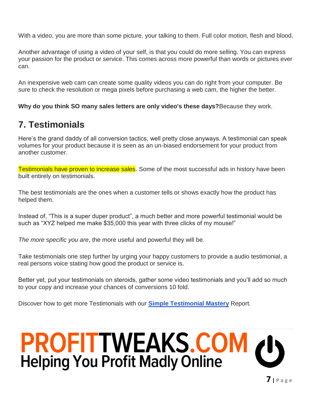With a video, you are more than some picture, your talking to them. Full color motion, flesh and blood.

Another advantage of using a video of your self, is that you could do more selling. You can express your passion for the product or service. This comes across more powerful than words or pictures ever can.

An inexpensive web cam can create some quality videos you can do right from your computer. Be sure to check the resolution or mega pixels before purchasing a web cam, the higher the better.

**Why do you think SO many sales letters are only video's these days?**Because they work.

## **7. Testimonials**

Here's the grand daddy of all conversion tactics, well pretty close anyways. A testimonial can speak volumes for your product because it is seen as an un-biased endorsement for your product from another customer.

Testimonials have proven to increase sales. Some of the most successful ads in history have been built entirely on testimonials.

The best testimonials are the ones when a customer tells or shows exactly how the product has helped them.

Instead of, "This is a super duper product", a much better and more powerful testimonial would be such as "XYZ helped me make \$35,000 this year with three clicks of my mouse!"

*The more specific you are*, the more useful and powerful they will be.

Take testimonials one step further by urging your happy customers to provide a audio testimonial, a real persons voice stating how good the product or service is.

Better yet, put your testimonials on steroids, gather some video testimonials and you'll add so much to your copy and increase your chances of conversions 10 fold.

Discover how to get more Testimonials with our **[Simple Testimonial Mastery](http://www.profittweaks.com/gold-profits-vault/simple-testimonial-mastery)** Report.

# **PROFITTWEAKS.COM**<br>Helping You Profit Madly Online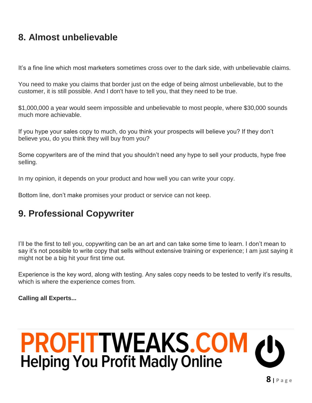## **8. Almost unbelievable**

It's a fine line which most marketers sometimes cross over to the dark side, with unbelievable claims.

You need to make you claims that border just on the edge of being almost unbelievable, but to the customer, it is still possible. And I don't have to tell you, that they need to be true.

\$1,000,000 a year would seem impossible and unbelievable to most people, where \$30,000 sounds much more achievable.

If you hype your sales copy to much, do you think your prospects will believe you? If they don't believe you, do you think they will buy from you?

Some copywriters are of the mind that you shouldn't need any hype to sell your products, hype free selling.

In my opinion, it depends on your product and how well you can write your copy.

Bottom line, don't make promises your product or service can not keep.

## **9. Professional Copywriter**

I'll be the first to tell you, copywriting can be an art and can take some time to learn. I don't mean to say it's not possible to write copy that sells without extensive training or experience; I am just saying it might not be a big hit your first time out.

Experience is the key word, along with testing. Any sales copy needs to be tested to verify it's results, which is where the experience comes from.

**Calling all Experts...**

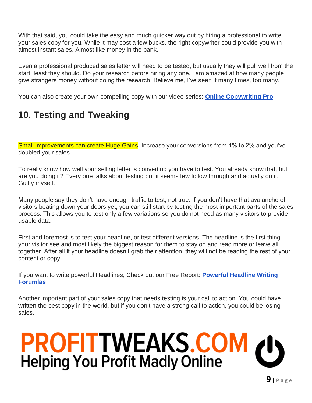With that said, you could take the easy and much quicker way out by hiring a professional to write your sales copy for you. While it may cost a few bucks, the right copywriter could provide you with almost instant sales. Almost like money in the bank.

Even a professional produced sales letter will need to be tested, but usually they will pull well from the start, least they should. Do your research before hiring any one. I am amazed at how many people give strangers money without doing the research. Believe me, I've seen it many times, too many.

You can also create your own compelling copy with our video series: **[Online Copywriting Pro](http://www.profittweaks.com/gold-profits-vault/online-copywriting-pro)**

# **10. Testing and Tweaking**

Small improvements can create Huge Gains. Increase your conversions from 1% to 2% and you've doubled your sales.

To really know how well your selling letter is converting you have to test. You already know that, but are you doing it? Every one talks about testing but it seems few follow through and actually do it. Guilty myself.

Many people say they don't have enough traffic to test, not true. If you don't have that avalanche of visitors beating down your doors yet, you can still start by testing the most important parts of the sales process. This allows you to test only a few variations so you do not need as many visitors to provide usable data.

First and foremost is to test your headline, or test different versions. The headline is the first thing your visitor see and most likely the biggest reason for them to stay on and read more or leave all together. After all it your headline doesn't grab their attention, they will not be reading the rest of your content or copy.

If you want to write powerful Headlines, Check out our Free Report: **[Powerful Headline Writing](http://www.profittweaks.com/start-here/headline-writing-formulas)  [Forumlas](http://www.profittweaks.com/start-here/headline-writing-formulas)**

Another important part of your sales copy that needs testing is your call to action. You could have written the best copy in the world, but if you don't have a strong call to action, you could be losing sales.

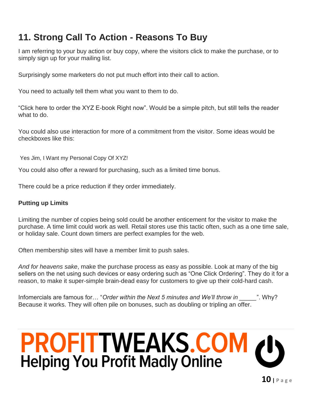## **11. Strong Call To Action - Reasons To Buy**

I am referring to your buy action or buy copy, where the visitors click to make the purchase, or to simply sign up for your mailing list.

Surprisingly some marketers do not put much effort into their call to action.

You need to actually tell them what you want to them to do.

"Click here to order the XYZ E-book Right now". Would be a simple pitch, but still tells the reader what to do.

You could also use interaction for more of a commitment from the visitor. Some ideas would be checkboxes like this:

Yes Jim, I Want my Personal Copy Of XYZ!

You could also offer a reward for purchasing, such as a limited time bonus.

There could be a price reduction if they order immediately.

#### **Putting up Limits**

Limiting the number of copies being sold could be another enticement for the visitor to make the purchase. A time limit could work as well. Retail stores use this tactic often, such as a one time sale, or holiday sale. Count down timers are perfect examples for the web.

Often membership sites will have a member limit to push sales.

*And for heavens sake*, make the purchase process as easy as possible. Look at many of the big sellers on the net using such devices or easy ordering such as "One Click Ordering". They do it for a reason, to make it super-simple brain-dead easy for customers to give up their cold-hard cash.

Infomercials are famous for... "Order within the Next 5 minutes and We'll throw in <sup>2</sup>. Why? Because it works. They will often pile on bonuses, such as doubling or tripling an offer.

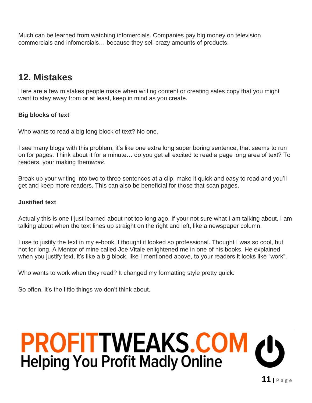Much can be learned from watching infomercials. Companies pay big money on television commercials and infomercials… because they sell crazy amounts of products.

## **12. Mistakes**

Here are a few mistakes people make when writing content or creating sales copy that you might want to stay away from or at least, keep in mind as you create.

#### **Big blocks of text**

Who wants to read a big long block of text? No one.

I see many blogs with this problem, it's like one extra long super boring sentence, that seems to run on for pages. Think about it for a minute… do you get all excited to read a page long area of text? To readers, your making them*work*.

Break up your writing into two to three sentences at a clip, make it quick and easy to read and you'll get and keep more readers. This can also be beneficial for those that scan pages.

#### **Justified text**

Actually this is one I just learned about not too long ago. If your not sure what I am talking about, I am talking about when the text lines up straight on the right and left, like a newspaper column.

I use to justify the text in my e-book, I thought it looked so professional. Thought I was so cool, but not for long. A Mentor of mine called Joe Vitale enlightened me in one of his books. He explained when you justify text, it's like a big block, like I mentioned above, to your readers it looks like "work".

Who wants to work when they read? It changed my formatting style pretty quick.

So often, it's the little things we don't think about.

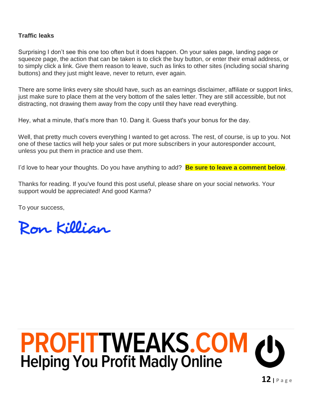#### **Traffic leaks**

Surprising I don't see this one too often but it does happen. On your sales page, landing page or squeeze page, the action that can be taken is to click the buy button, or enter their email address, or to simply click a link. Give them reason to leave, such as links to other sites (including social sharing buttons) and they just might leave, never to return, ever again.

There are some links every site should have, such as an earnings disclaimer, affiliate or support links, just make sure to place them at the very bottom of the sales letter. They are still accessible, but not distracting, not drawing them away from the copy until they have read everything.

Hey, what a minute, that's more than 10. Dang it. Guess that's your bonus for the day.

Well, that pretty much covers everything I wanted to get across. The rest, of course, is up to you. Not one of these tactics will help your sales or put more subscribers in your autoresponder account, unless you put them in practice and use them.

I'd love to hear your thoughts. Do you have anything to add? **Be sure to leave a comment below**.

Thanks for reading. If you've found this post useful, please share on your social networks. Your support would be appreciated! And good Karma?

To your success,